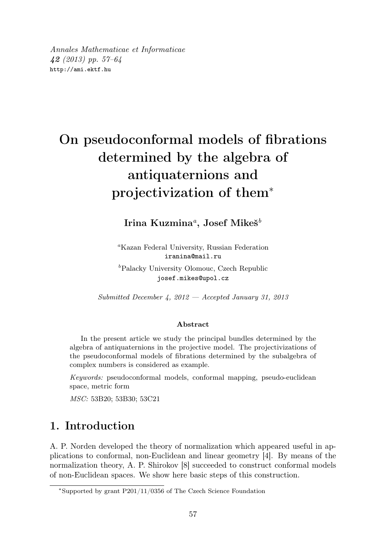Annales Mathematicae et Informaticae 42 (2013) pp. 57–64 http://ami.ektf.hu

# On pseudoconformal models of fibrations determined by the algebra of antiquaternions and projectivization of them<sup>∗</sup>

Irina Kuzmina ${}^a,\, {\rm Josef\;Mike\check{s}}^b$ 

<sup>a</sup>Kazan Federal University, Russian Federation iranina@mail.ru  ${}^b$ Palacky University Olomouc, Czech Republic josef.mikes@upol.cz

Submitted December 4,  $2012 - Accepted January 31, 2013$ 

#### Abstract

In the present article we study the principal bundles determined by the algebra of antiquaternions in the projective model. The projectivizations of the pseudoconformal models of fibrations determined by the subalgebra of complex numbers is considered as example.

Keywords: pseudoconformal models, conformal mapping, pseudo-euclidean space, metric form

MSC: 53B20; 53B30; 53C21

### 1. Introduction

A. P. Norden developed the theory of normalization which appeared useful in applications to conformal, non-Euclidean and linear geometry [4]. By means of the normalization theory, A. P. Shirokov [8] succeeded to construct conformal models of non-Euclidean spaces. We show here basic steps of this construction.

<sup>∗</sup>Supported by grant P201/11/0356 of The Czech Science Foundation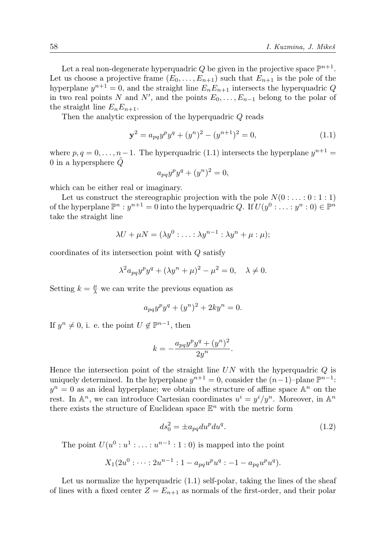Let a real non-degenerate hyperquadric  $Q$  be given in the projective space  $\mathbb{P}^{n+1}$ . Let us choose a projective frame  $(E_0, \ldots, E_{n+1})$  such that  $E_{n+1}$  is the pole of the hyperplane  $y^{n+1} = 0$ , and the straight line  $E_n E_{n+1}$  intersects the hyperquadric Q in two real points N and N', and the points  $E_0, \ldots, E_{n-1}$  belong to the polar of the straight line  $E_nE_{n+1}$ .

Then the analytic expression of the hyperquadric Q reads

$$
\mathbf{y}^2 = a_{pq} y^p y^q + (y^n)^2 - (y^{n+1})^2 = 0,\tag{1.1}
$$

where  $p, q = 0, \ldots, n-1$ . The hyperquadric (1.1) intersects the hyperplane  $y^{n+1} =$ 0 in a hypersphere  $\ddot{Q}$ 

$$
a_{pq}y^py^q + (y^n)^2 = 0,
$$

which can be either real or imaginary.

Let us construct the stereographic projection with the pole  $N(0:...:0:1:1)$ of the hyperplane  $\mathbb{P}^n : y^{n+1} = 0$  into the hyperquadric Q. If  $U(y^0 : \dots : y^n : 0) \in \mathbb{P}^n$ take the straight line

$$
\lambda U + \mu N = (\lambda y^0 : \ldots : \lambda y^{n-1} : \lambda y^n + \mu : \mu);
$$

coordinates of its intersection point with Q satisfy

$$
\lambda^2 a_{pq} y^p y^q + (\lambda y^n + \mu)^2 - \mu^2 = 0, \quad \lambda \neq 0.
$$

Setting  $k = \frac{\mu}{\lambda}$  we can write the previous equation as

$$
a_{pq}y^py^q + (y^n)^2 + 2ky^n = 0.
$$

If  $y^n \neq 0$ , i. e. the point  $U \notin \mathbb{P}^{n-1}$ , then

$$
k = -\frac{a_{pq}y^py^q + (y^n)^2}{2y^n}.
$$

Hence the intersection point of the straight line  $UN$  with the hyperquadric  $Q$  is uniquely determined. In the hyperplane  $y^{n+1} = 0$ , consider the  $(n-1)$ –plane  $\mathbb{P}^{n-1}$ :  $y^n = 0$  as an ideal hyperplane; we obtain the structure of affine space  $\mathbb{A}^n$  on the rest. In  $\mathbb{A}^n$ , we can introduce Cartesian coordinates  $u^i = y^i/y^n$ . Moreover, in  $\mathbb{A}^n$ there exists the structure of Euclidean space  $\mathbb{E}^n$  with the metric form

$$
ds_0^2 = \pm a_{pq} du^p du^q. \tag{1.2}
$$

The point  $U(u^0:u^1:\ldots:u^{n-1}:1:0)$  is mapped into the point

$$
X_1(2u^0:\cdots:2u^{n-1}:1-a_{pq}u^pu^q:-1-a_{pq}u^pu^q).
$$

Let us normalize the hyperquadric  $(1.1)$  self-polar, taking the lines of the sheaf of lines with a fixed center  $Z = E_{n+1}$  as normals of the first-order, and their polar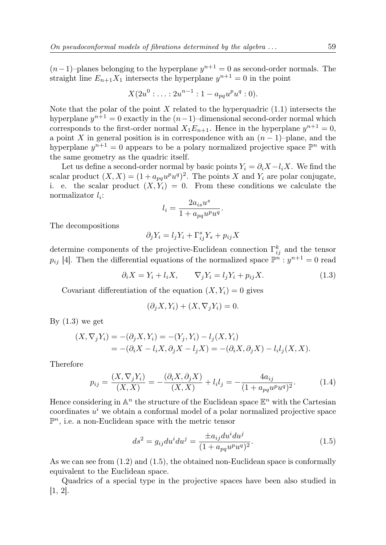$(n-1)$ –planes belonging to the hyperplane  $y^{n+1} = 0$  as second-order normals. The straight line  $E_{n+1}X_1$  intersects the hyperplane  $y^{n+1} = 0$  in the point

$$
X(2u^0:\ldots:2u^{n-1}:1-a_{pq}u^pu^q:0).
$$

Note that the polar of the point X related to the hyperquadric  $(1.1)$  intersects the hyperplane  $y^{n+1} = 0$  exactly in the  $(n-1)$ –dimensional second-order normal which corresponds to the first-order normal  $X_1E_{n+1}$ . Hence in the hyperplane  $y^{n+1} = 0$ , a point X in general position is in correspondence with an  $(n-1)$ –plane, and the hyperplane  $y^{n+1} = 0$  appears to be a polary normalized projective space  $\mathbb{P}^n$  with the same geometry as the quadric itself.

Let us define a second-order normal by basic points  $Y_i = \partial_i X - l_i X$ . We find the scalar product  $(X, X) = (1 + a_{pq}u^pu^q)^2$ . The points X and  $Y_i$  are polar conjugate, i. e. the scalar product  $(X, Y_i) = 0$ . From these conditions we calculate the normalizator  $l_i$ :

$$
l_i = \frac{2a_{is}u^s}{1 + a_{pq}u^pu^q}.
$$

The decompositions

$$
\partial_j Y_i = l_j Y_i + \Gamma^s_{ij} Y_s + p_{ij} X
$$

determine components of the projective-Euclidean connection  $\Gamma_{ij}^k$  and the tensor  $p_{ij}$  [4]. Then the differential equations of the normalized space  $\mathbb{P}^n : y^{n+1} = 0$  read

$$
\partial_i X = Y_i + l_i X, \qquad \nabla_j Y_i = l_j Y_i + p_{ij} X. \tag{1.3}
$$

Covariant differentiation of the equation  $(X, Y_i) = 0$  gives

$$
(\partial_j X, Y_i) + (X, \nabla_j Y_i) = 0.
$$

By  $(1.3)$  we get

$$
(X, \nabla_j Y_i) = -(\partial_j X, Y_i) = -(Y_j, Y_i) - l_j(X, Y_i)
$$
  
= 
$$
-(\partial_i X - l_i X, \partial_j X - l_j X) = -(\partial_i X, \partial_j X) - l_i l_j(X, X).
$$

Therefore

$$
p_{ij} = \frac{(X, \nabla_j Y_i)}{(X, X)} = -\frac{(\partial_i X, \partial_j X)}{(X, X)} + l_i l_j = -\frac{4a_{ij}}{(1 + a_{pq} u^p u^q)^2}.
$$
(1.4)

Hence considering in  $\mathbb{A}^n$  the structure of the Euclidean space  $\mathbb{E}^n$  with the Cartesian coordinates  $u^i$  we obtain a conformal model of a polar normalized projective space  $\mathbb{P}^n$ , i.e. a non-Euclidean space with the metric tensor

$$
ds^{2} = g_{ij}du^{i}du^{j} = \frac{\pm a_{ij}du^{i}du^{j}}{(1 + a_{pq}u^{p}u^{q})^{2}}.
$$
\n(1.5)

As we can see from (1.2) and (1.5), the obtained non-Euclidean space is conformally equivalent to the Euclidean space.

Quadrics of a special type in the projective spaces have been also studied in [1, 2].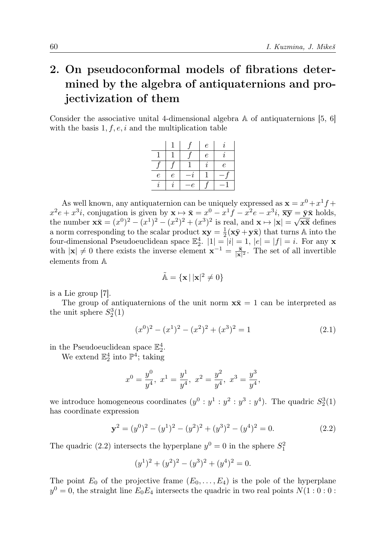## 2. On pseudoconformal models of fibrations determined by the algebra of antiquaternions and projectivization of them

Consider the associative unital 4-dimensional algebra A of antiquaternions [5, 6] with the basis  $1, f, e, i$  and the multiplication table

|            |   |    | $\epsilon$ |                  |
|------------|---|----|------------|------------------|
|            |   |    | $\epsilon$ |                  |
|            |   |    |            | $\boldsymbol{e}$ |
| $\epsilon$ | е |    |            |                  |
|            |   | -e |            |                  |

As well known, any antiquaternion can be uniquely expressed as  $\mathbf{x} = x^0 + x^1 f +$  $x^2e + x^3i$ , conjugation is given by  $\mathbf{x} \mapsto \bar{\mathbf{x}} = x^0 - x^1f - x^2e - x^3i$ ,  $\bar{\mathbf{x}}\bar{\mathbf{y}} = \bar{\mathbf{y}}\bar{\mathbf{x}}$  holds, the number  $\mathbf{x}\bar{\mathbf{x}} = (x^0)^2 - (x^1)^2 - (x^2)^2 + (x^3)^2$  is real, and  $\mathbf{x} \mapsto |\mathbf{x}| = \sqrt{\mathbf{x}\bar{\mathbf{x}}}$  defines a norm corresponding to the scalar product  $xy = \frac{1}{2}(x\bar{y} + y\bar{x})$  that turns A into the four-dimensional Pseudoeuclidean space  $\mathbb{E}_2^4$ .  $|1| = |i| = 1$ ,  $|e| = |f| = i$ . For any **x** with  $|\mathbf{x}| \neq 0$  there exists the inverse element  $\mathbf{x}^{-1} = \frac{\bar{\mathbf{x}}}{|\mathbf{x}|^2}$ . The set of all invertible elements from A

$$
\tilde{\mathbb{A}} = \{ \mathbf{x} \, | \, |\mathbf{x}|^2 \neq 0 \}
$$

is a Lie group [7].

The group of antiquaternions of the unit norm  $x\bar{x} = 1$  can be interpreted as the unit sphere  $S_2^3(1)$ 

$$
(x0)2 - (x1)2 - (x2)2 + (x3)2 = 1
$$
\n(2.1)

in the Pseudoeuclidean space  $\mathbb{E}_2^4$ .

We extend  $\mathbb{E}_2^4$  into  $\mathbb{P}^4$ ; taking

$$
x^0 = \frac{y^0}{y^4}
$$
,  $x^1 = \frac{y^1}{y^4}$ ,  $x^2 = \frac{y^2}{y^4}$ ,  $x^3 = \frac{y^3}{y^4}$ ,

we introduce homogeneous coordinates  $(y^0 : y^1 : y^2 : y^3 : y^4)$ . The quadric  $S_2^3(1)$ has coordinate expression

$$
\mathbf{y}^2 = (y^0)^2 - (y^1)^2 - (y^2)^2 + (y^3)^2 - (y^4)^2 = 0.
$$
 (2.2)

The quadric (2.2) intersects the hyperplane  $y^0 = 0$  in the sphere  $S_1^2$ 

$$
(y1)2 + (y2)2 - (y3)2 + (y4)2 = 0.
$$

The point  $E_0$  of the projective frame  $(E_0, \ldots, E_4)$  is the pole of the hyperplane  $y^0 = 0$ , the straight line  $E_0 E_4$  intersects the quadric in two real points  $N(1:0:0:$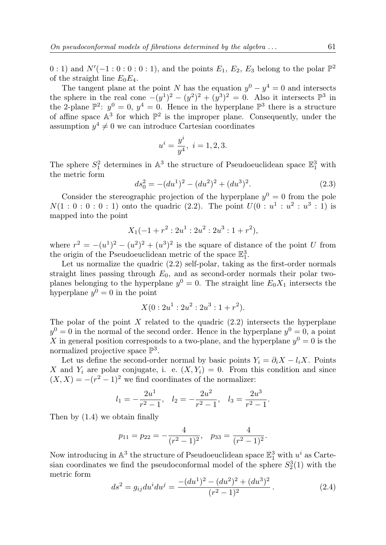0 : 1) and  $N'(-1:0:0:0:1)$ , and the points  $E_1, E_2, E_3$  belong to the polar  $\mathbb{P}^2$ of the straight line  $E_0E_4$ .

The tangent plane at the point N has the equation  $y^0 - y^4 = 0$  and intersects the sphere in the real cone  $-(y^1)^2 - (y^2)^2 + (y^3)^2 = 0$ . Also it intersects  $\mathbb{P}^3$  in the 2-plane  $\mathbb{P}^2$ :  $y^0 = 0$ ,  $y^4 = 0$ . Hence in the hyperplane  $\mathbb{P}^3$  there is a structure of affine space  $\mathbb{A}^3$  for which  $\mathbb{P}^2$  is the improper plane. Consequently, under the assumption  $y^4 \neq 0$  we can introduce Cartesian coordinates

$$
u^i = \frac{y^i}{y^4}, \ i = 1, 2, 3.
$$

The sphere  $S_1^2$  determines in  $\mathbb{A}^3$  the structure of Pseudoeuclidean space  $\mathbb{E}_1^3$  with the metric form

$$
ds_0^2 = -(du^1)^2 - (du^2)^2 + (du^3)^2.
$$
 (2.3)

Consider the stereographic projection of the hyperplane  $y^0 = 0$  from the pole  $N(1:0:0:0:1)$  onto the quadric (2.2). The point  $U(0:u^1:u^2:u^3:1)$  is mapped into the point

$$
X_1(-1+r^2:2u^1:2u^2:2u^3:1+r^2),
$$

where  $r^2 = -(u^1)^2 - (u^2)^2 + (u^3)^2$  is the square of distance of the point U from the origin of the Pseudoeuclidean metric of the space  $\mathbb{E}_1^3$ .

Let us normalize the quadric  $(2.2)$  self-polar, taking as the first-order normals straight lines passing through  $E_0$ , and as second-order normals their polar twoplanes belonging to the hyperplane  $y^0 = 0$ . The straight line  $E_0 X_1$  intersects the hyperplane  $y^0 = 0$  in the point

$$
X(0:2u^1:2u^2:2u^3:1+r^2).
$$

The polar of the point  $X$  related to the quadric  $(2.2)$  intersects the hyperplane  $y^0 = 0$  in the normal of the second order. Hence in the hyperplane  $y^0 = 0$ , a point X in general position corresponds to a two-plane, and the hyperplane  $y^0 = 0$  is the normalized projective space  $\mathbb{P}^3$ .

Let us define the second-order normal by basic points  $Y_i = \partial_i X - l_i X$ . Points X and  $Y_i$  are polar conjugate, i. e.  $(X, Y_i) = 0$ . From this condition and since  $(X, X) = -(r^2 - 1)^2$  we find coordinates of the normalizer:

$$
l_1 = -\frac{2u^1}{r^2 - 1}
$$
,  $l_2 = -\frac{2u^2}{r^2 - 1}$ ,  $l_3 = \frac{2u^3}{r^2 - 1}$ .

Then by (1.4) we obtain finally

$$
p_{11} = p_{22} = -\frac{4}{(r^2 - 1)^2}, \quad p_{33} = \frac{4}{(r^2 - 1)^2}.
$$

Now introducing in  $\mathbb{A}^3$  the structure of Pseudoeuclidean space  $\mathbb{E}^3_1$  with  $u^i$  as Cartesian coordinates we find the pseudoconformal model of the sphere  $S_2^3(1)$  with the metric form

$$
ds^{2} = g_{ij}du^{i}du^{j} = \frac{-(du^{1})^{2} - (du^{2})^{2} + (du^{3})^{2}}{(r^{2} - 1)^{2}}.
$$
 (2.4)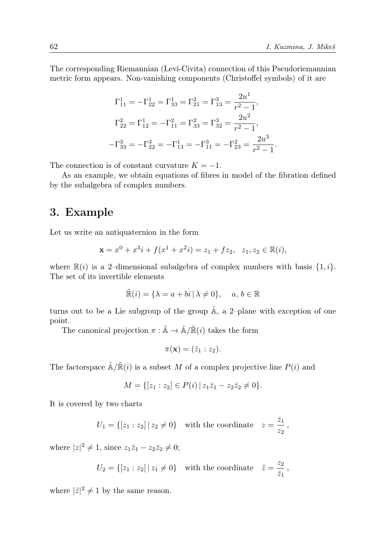.

The corresponding Riemannian (Levi-Civita) connection of this Pseudoriemannian metric form appears. Non-vanishing components (Christoffel symbols) of it are

$$
\Gamma_{11}^{1} = -\Gamma_{22}^{1} = \Gamma_{33}^{1} = \Gamma_{21}^{2} = \Gamma_{13}^{3} = \frac{2u^{1}}{r^{2} - 1},
$$
  
\n
$$
\Gamma_{22}^{2} = \Gamma_{12}^{1} = -\Gamma_{11}^{2} = \Gamma_{33}^{2} = \Gamma_{32}^{3} = \frac{2u^{2}}{r^{2} - 1},
$$
  
\n
$$
-\Gamma_{33}^{3} = -\Gamma_{22}^{3} = -\Gamma_{13}^{1} = -\Gamma_{11}^{3} = -\Gamma_{23}^{2} = \frac{2u^{3}}{r^{2} - 1}
$$

The connection is of constant curvature  $K = -1$ .

As an example, we obtain equations of fibres in model of the fibration defined by the subalgebra of complex numbers.

### 3. Example

Let us write an antiquaternion in the form

$$
\mathbf{x} = x^0 + x^3i + f(x^1 + x^2i) = z_1 + fz_2, \ \ z_1, z_2 \in \mathbb{R}(i),
$$

where  $\mathbb{R}(i)$  is a 2-dimensional subalgebra of complex numbers with basis  $\{1, i\}$ . The set of its invertible elements

$$
\tilde{\mathbb{R}}(i) = \{ \lambda = a + bi \mid \lambda \neq 0 \}, \quad a, b \in \mathbb{R}
$$

turns out to be a Lie subgroup of the group  $\tilde{A}$ , a 2–plane with exception of one point.

The canonical projection  $\pi : \tilde{A} \to \tilde{A}/\tilde{R}(i)$  takes the form

$$
\pi(\mathbf{x})=(\bar{z}_1:z_2).
$$

The factorspace  $\tilde{\mathbb{A}}/\tilde{\mathbb{R}}(i)$  is a subset M of a complex projective line  $P(i)$  and

$$
M = \{ [z_1 : z_2] \in P(i) \mid z_1 \overline{z}_1 - z_2 \overline{z}_2 \neq 0 \}.
$$

It is covered by two charts

$$
U_1 = \{ [z_1 : z_2] \mid z_2 \neq 0 \} \quad \text{with the coordinate} \quad z = \frac{\bar{z}_1}{z_2},
$$

where  $|z|^2 \neq 1$ , since  $z_1 \bar{z}_1 - z_2 \bar{z}_2 \neq 0$ ;

$$
U_2 = \{ [z_1 : z_2] \mid z_1 \neq 0 \} \quad \text{with the coordinate} \quad \tilde{z} = \frac{z_2}{\bar{z}_1},
$$

where  $|\tilde{z}|^2 \neq 1$  by the same reason.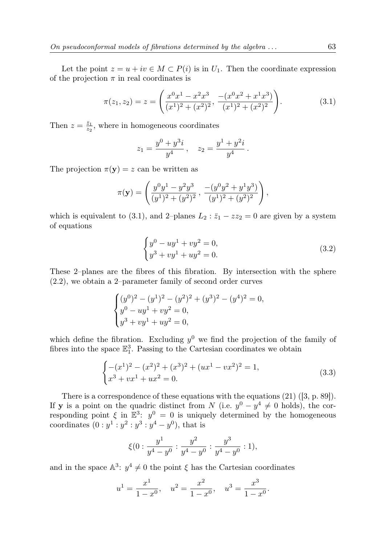Let the point  $z = u + iv \in M \subset P(i)$  is in  $U_1$ . Then the coordinate expression of the projection  $\pi$  in real coordinates is

$$
\pi(z_1, z_2) = z = \left(\frac{x^0 x^1 - x^2 x^3}{(x^1)^2 + (x^2)^2}, \frac{-(x^0 x^2 + x^1 x^3)}{(x^1)^2 + (x^2)^2}\right).
$$
\n(3.1)

Then  $z = \frac{\bar{z}_1}{z_2}$ , where in homogeneous coordinates

$$
z_1 = \frac{y^0 + y^3 i}{y^4} , \quad z_2 = \frac{y^1 + y^2 i}{y^4} .
$$

The projection  $\pi(\mathbf{y}) = z$  can be written as

$$
\pi(\mathbf{y}) = \left(\frac{y^0 y^1 - y^2 y^3}{(y^1)^2 + (y^2)^2}, \frac{-(y^0 y^2 + y^1 y^3)}{(y^1)^2 + (y^2)^2}\right),
$$

which is equivalent to (3.1), and 2–planes  $L_2 : \bar{z}_1 - zz_2 = 0$  are given by a system of equations

$$
\begin{cases}\ny^0 - uy^1 + vy^2 = 0, \\
y^3 + vy^1 + uy^2 = 0.\n\end{cases}
$$
\n(3.2)

These 2–planes are the fibres of this fibration. By intersection with the sphere (2.2), we obtain a 2–parameter family of second order curves

$$
\begin{cases}\n(y^0)^2 - (y^1)^2 - (y^2)^2 + (y^3)^2 - (y^4)^2 = 0, \\
y^0 - uy^1 + vy^2 = 0, \\
y^3 + vy^1 + uy^2 = 0,\n\end{cases}
$$

which define the fibration. Excluding  $y^0$  we find the projection of the family of fibres into the space  $\mathbb{E}_1^3$ . Passing to the Cartesian coordinates we obtain

$$
\begin{cases}\n-(x^1)^2 - (x^2)^2 + (x^3)^2 + (ux^1 - vx^2)^2 = 1, \\
x^3 + vx^1 + ux^2 = 0.\n\end{cases}
$$
\n(3.3)

There is a correspondence of these equations with the equations (21) ([3, p. 89]). If **y** is a point on the quadric distinct from N (i.e.  $y^0 - y^4 \neq 0$  holds), the corresponding point  $\xi$  in  $\mathbb{E}^3$ :  $y^0 = 0$  is uniquely determined by the homogeneous coordinates  $(0: y^1: y^2: y^3: y^4 - y^0)$ , that is

$$
\xi(0:\frac{y^1}{y^4-y^0}:\frac{y^2}{y^4-y^0}:\frac{y^3}{y^4-y^0}:1),
$$

and in the space  $\mathbb{A}^3$ :  $y^4 \neq 0$  the point  $\xi$  has the Cartesian coordinates

$$
u^{1} = \frac{x^{1}}{1 - x^{0}}, \quad u^{2} = \frac{x^{2}}{1 - x^{0}}, \quad u^{3} = \frac{x^{3}}{1 - x^{0}}.
$$